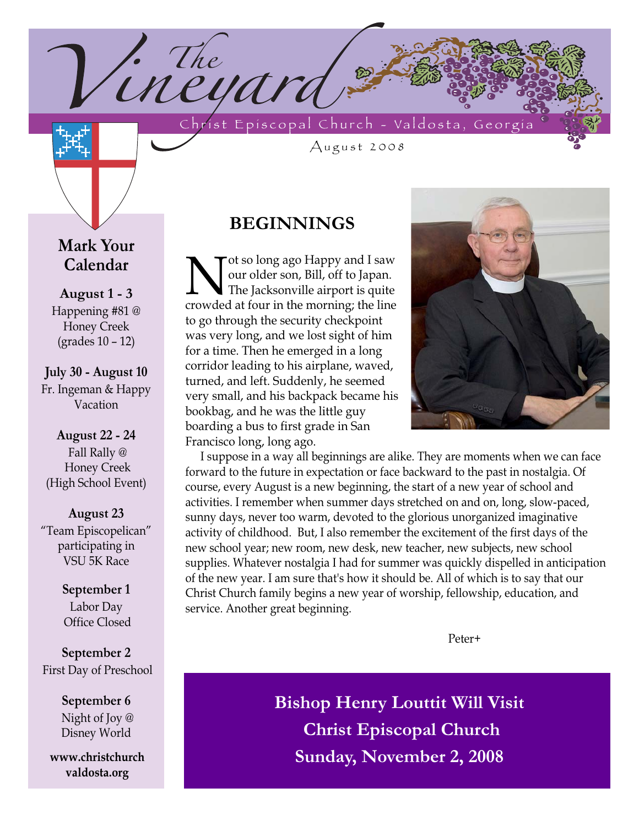Christ Episcopal Church - Valdosta, Georgia

August 2008

# **Mark Your Calendar**

**August 1 - 3** Happening #81 @ Honey Creek (grades 10 – 12)

**July 30 - August 10** Fr. Ingeman & Happy Vacation

**August 22 - 24** Fall Rally @ Honey Creek (High School Event)

**August 23**  "Team Episcopelican" participating in VSU 5K Race

> **September 1** Labor Day Office Closed

**September 2** First Day of Preschool

> **September 6** Night of Joy @ Disney World

**www.christchurch valdosta.org**

## **BEGINNINGS**

<sup>1.</sup> The contract in the USA

Not so long ago Happy and I saw<br>I our older son, Bill, off to Japan.<br>The Jacksonville airport is quite<br>crowded at four in the morning: the line our older son, Bill, off to Japan. The Jacksonville airport is quite crowded at four in the morning; the line to go through the security checkpoint was very long, and we lost sight of him for a time. Then he emerged in a long corridor leading to his airplane, waved, turned, and left. Suddenly, he seemed very small, and his backpack became his bookbag, and he was the little guy boarding a bus to first grade in San Francisco long, long ago.



I suppose in a way all beginnings are alike. They are moments when we can face forward to the future in expectation or face backward to the past in nostalgia. Of course, every August is a new beginning, the start of a new year of school and activities. I remember when summer days stretched on and on, long, slow-paced, sunny days, never too warm, devoted to the glorious unorganized imaginative activity of childhood. But, I also remember the excitement of the first days of the new school year; new room, new desk, new teacher, new subjects, new school supplies. Whatever nostalgia I had for summer was quickly dispelled in anticipation of the new year. I am sure that's how it should be. All of which is to say that our Christ Church family begins a new year of worship, fellowship, education, and service. Another great beginning.

Peter+

**Bishop Henry Louttit Will Visit Christ Episcopal Church Sunday, November 2, 2008**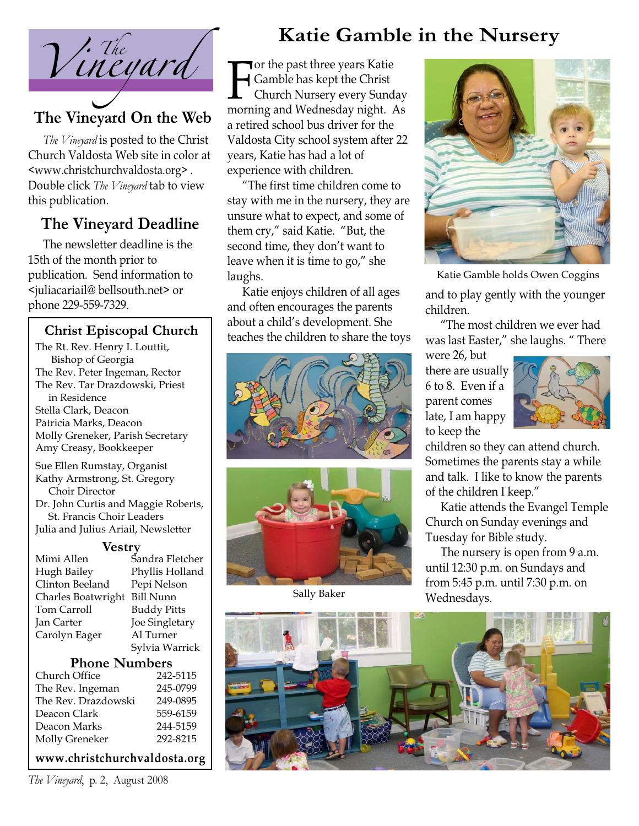

# **The Vineyard On the Web**

*The Vineyard* is posted to the Christ Church Valdosta Web site in color at <www.christchurchvaldosta.org> . Double click *The Vineyard* tab to view this publication.

# **The Vineyard Deadline**

The newsletter deadline is the 15th of the month prior to publication. Send information to <juliacariail@ bellsouth.net> or phone 229-559-7329.

### **Christ Episcopal Church**

The Rt. Rev. Henry I. Louttit, Bishop of Georgia The Rev. Peter Ingeman, Rector The Rev. Tar Drazdowski, Priest in Residence Stella Clark, Deacon Patricia Marks, Deacon Molly Greneker, Parish Secretary Amy Creasy, Bookkeeper Sue Ellen Rumstay, Organist Kathy Armstrong, St. Gregory Choir Director

Dr. John Curtis and Maggie Roberts, St. Francis Choir Leaders Julia and Julius Ariail, Newsletter

#### **Vestry**

| Sandra Fletcher    |
|--------------------|
| Phyllis Holland    |
| Pepi Nelson        |
| <b>Bill Nunn</b>   |
| <b>Buddy Pitts</b> |
| Joe Singletary     |
| Al Turner          |
| Sylvia Warrick     |
|                    |

#### **Phone Numbers**

| Church Office       | 242-5115 |
|---------------------|----------|
| The Rev. Ingeman    | 245-0799 |
| The Rev. Drazdowski | 249-0895 |
| Deacon Clark        | 559-6159 |
| Deacon Marks        | 244-5159 |
| Molly Greneker      | 292-8215 |
|                     |          |

**www.christchurchvaldosta.org**

*The Vineyard*, p. 2, August 2008

# **Katie Gamble in the Nursery**

For the past three years Katte<br>
Gamble has kept the Christ<br>
Church Nursery every Sunday<br>
morning and Wednesday night. As **Tor the past three years Katie** Gamble has kept the Christ Church Nursery every Sunday a retired school bus driver for the Valdosta City school system after 22 years, Katie has had a lot of experience with children.

"The first time children come to stay with me in the nursery, they are unsure what to expect, and some of them cry," said Katie. "But, the second time, they don't want to leave when it is time to go," she laughs.

Katie enjoys children of all ages and often encourages the parents about a child's development. She teaches the children to share the toys





Sally Baker



Katie Gamble holds Owen Coggins

and to play gently with the younger children.

"The most children we ever had was last Easter," she laughs. " There

were 26, but there are usually 6 to 8. Even if a parent comes late, I am happy to keep the



children so they can attend church. Sometimes the parents stay a while and talk. I like to know the parents of the children I keep."

Katie attends the Evangel Temple Church on Sunday evenings and Tuesday for Bible study.

The nursery is open from 9 a.m. until 12:30 p.m. on Sundays and from 5:45 p.m. until 7:30 p.m. on Wednesdays.

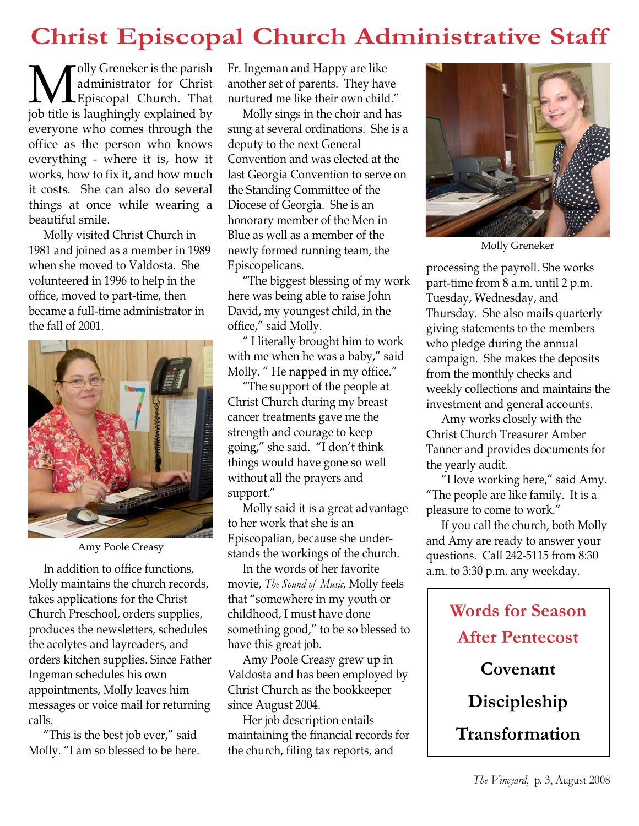# **Christ Episcopal Church Administrative Staff**

**M** administrator for Christ<br>Episcopal Church. That<br>iob title is laughingly explained by administrator for Christ Episcopal Church. That job title is laughingly explained by everyone who comes through the office as the person who knows everything - where it is, how it works, how to fix it, and how much it costs. She can also do several things at once while wearing a beautiful smile.

Molly visited Christ Church in 1981 and joined as a member in 1989 when she moved to Valdosta. She volunteered in 1996 to help in the office, moved to part-time, then became a full-time administrator in the fall of 2001.



Amy Poole Creasy

In addition to office functions, Molly maintains the church records, takes applications for the Christ Church Preschool, orders supplies, produces the newsletters, schedules the acolytes and layreaders, and orders kitchen supplies. Since Father Ingeman schedules his own appointments, Molly leaves him messages or voice mail for returning calls.

"This is the best job ever," said Molly. "I am so blessed to be here. Fr. Ingeman and Happy are like another set of parents. They have nurtured me like their own child."

Molly sings in the choir and has sung at several ordinations. She is a deputy to the next General Convention and was elected at the last Georgia Convention to serve on the Standing Committee of the Diocese of Georgia. She is an honorary member of the Men in Blue as well as a member of the newly formed running team, the Episcopelicans.

"The biggest blessing of my work here was being able to raise John David, my youngest child, in the office," said Molly.

" I literally brought him to work with me when he was a baby," said Molly. " He napped in my office."

"The support of the people at Christ Church during my breast cancer treatments gave me the strength and courage to keep going," she said. "I don't think things would have gone so well without all the prayers and support."

Molly said it is a great advantage to her work that she is an Episcopalian, because she understands the workings of the church.

In the words of her favorite movie, *The Sound of Music*, Molly feels that "somewhere in my youth or childhood, I must have done something good," to be so blessed to have this great job.

Amy Poole Creasy grew up in Valdosta and has been employed by Christ Church as the bookkeeper since August 2004.

Her job description entails maintaining the financial records for the church, filing tax reports, and



Molly Greneker

processing the payroll. She works part-time from 8 a.m. until 2 p.m. Tuesday, Wednesday, and Thursday. She also mails quarterly giving statements to the members who pledge during the annual campaign. She makes the deposits from the monthly checks and weekly collections and maintains the investment and general accounts.

Amy works closely with the Christ Church Treasurer Amber Tanner and provides documents for the yearly audit.

"I love working here," said Amy. "The people are like family. It is a pleasure to come to work."

If you call the church, both Molly and Amy are ready to answer your questions. Call 242-5115 from 8:30 a.m. to 3:30 p.m. any weekday.

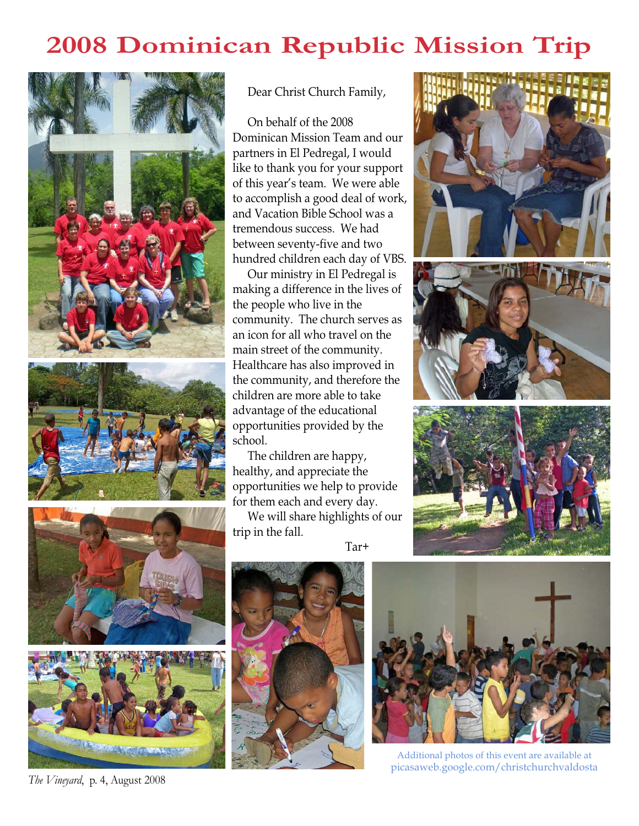# **2008 Dominican Republic Mission Trip**









*The Vineyard*, p. 4, August 2008

Dear Christ Church Family,

On behalf of the 2008 Dominican Mission Team and our partners in El Pedregal, I would like to thank you for your support of this year's team. We were able to accomplish a good deal of work, and Vacation Bible School was a tremendous success. We had between seventy-five and two hundred children each day of VBS.

Our ministry in El Pedregal is making a difference in the lives of the people who live in the community. The church serves as an icon for all who travel on the main street of the community. Healthcare has also improved in the community, and therefore the children are more able to take advantage of the educational opportunities provided by the school.

The children are happy, healthy, and appreciate the opportunities we help to provide for them each and every day.

We will share highlights of our trip in the fall.

Tar+







Additional photos of this event are available at picasaweb.google.com/christchurchvaldosta

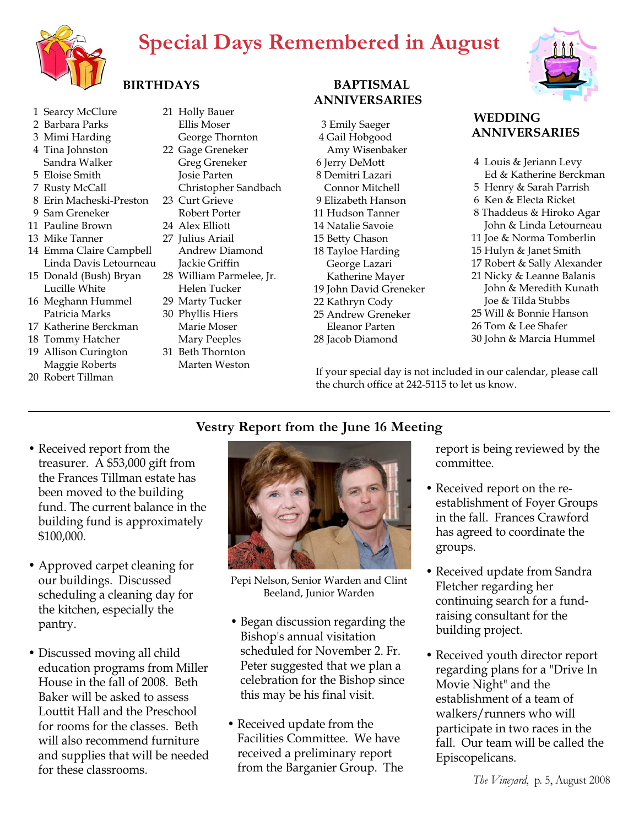# **Special Days Remembered in August**



## **BIRTHDAYS**

- 1 Searcy McClure
- 2 Barbara Parks
- 3 Mimi Harding 4 Tina Johnston
- Sandra Walker
- 5 Eloise Smith
- 7 Rusty McCall
- 8 Erin Macheski-Preston
- 9 Sam Greneker
- 11 Pauline Brown
- 13 Mike Tanner
- 14 Emma Claire Campbell Linda Davis Letourneau
- 15 Donald (Bush) Bryan Lucille White
- 16 Meghann Hummel Patricia Marks
- 17 Katherine Berckman
- 18 Tommy Hatcher
- 19 Allison Curington Maggie Roberts
- 20 Robert Tillman
- 21 Holly Bauer
- Ellis Moser George Thornton 22 Gage Greneker Greg Greneker Josie Parten
	- Christopher Sandbach
- 23 Curt Grieve
- Robert Porter 24 Alex Elliott
- 27 Julius Ariail
	- Andrew Diamond Jackie Griffin
- 28 William Parmelee, Jr. Helen Tucker
- 29 Marty Tucker
- 30 Phyllis Hiers Marie Moser
- Mary Peeples 31 Beth Thornton
	- Marten Weston

#### **BAPTISMAL ANNIVERSARIES**

3 Emily Saeger 4 Gail Hobgood Amy Wisenbaker 6 Jerry DeMott 8 Demitri Lazari Connor Mitchell 9 Elizabeth Hanson 11 Hudson Tanner 14 Natalie Savoie 15 Betty Chason 18 Tayloe Harding George Lazari Katherine Mayer 19 John David Greneker 22 Kathryn Cody

- 
- 25 Andrew Greneker
- Eleanor Parten
- 28 Jacob Diamond



#### **WEDDING ANNIVERSARIES**

- 4 Louis & Jeriann Levy Ed & Katherine Berckman 5 Henry & Sarah Parrish 6 Ken & Electa Ricket
- 8 Thaddeus & Hiroko Agar John & Linda Letourneau
- 11 Joe & Norma Tomberlin
- 15 Hulyn & Janet Smith
- 17 Robert & Sally Alexander
- 21 Nicky & Leanne Balanis John & Meredith Kunath Joe & Tilda Stubbs
- 25 Will & Bonnie Hanson
- 26 Tom & Lee Shafer
- 30 John & Marcia Hummel

If your special day is not included in our calendar, please call the church office at 242-5115 to let us know.

### **Vestry Report from the June 16 Meeting**

- Received report from the treasurer. A \$53,000 gift from the Frances Tillman estate has been moved to the building fund. The current balance in the building fund is approximately \$100,000.
- Approved carpet cleaning for our buildings. Discussed scheduling a cleaning day for the kitchen, especially the pantry.
- Discussed moving all child education programs from Miller House in the fall of 2008. Beth Baker will be asked to assess Louttit Hall and the Preschool for rooms for the classes. Beth will also recommend furniture and supplies that will be needed for these classrooms.



Pepi Nelson, Senior Warden and Clint Beeland, Junior Warden

- Began discussion regarding the Bishop's annual visitation scheduled for November 2. Fr. Peter suggested that we plan a celebration for the Bishop since this may be his final visit.
- Received update from the Facilities Committee. We have received a preliminary report from the Barganier Group. The

report is being reviewed by the committee.

- Received report on the reestablishment of Foyer Groups in the fall. Frances Crawford has agreed to coordinate the groups.
- Received update from Sandra Fletcher regarding her continuing search for a fundraising consultant for the building project.
- Received youth director report regarding plans for a "Drive In Movie Night" and the establishment of a team of walkers/runners who will participate in two races in the fall. Our team will be called the Episcopelicans.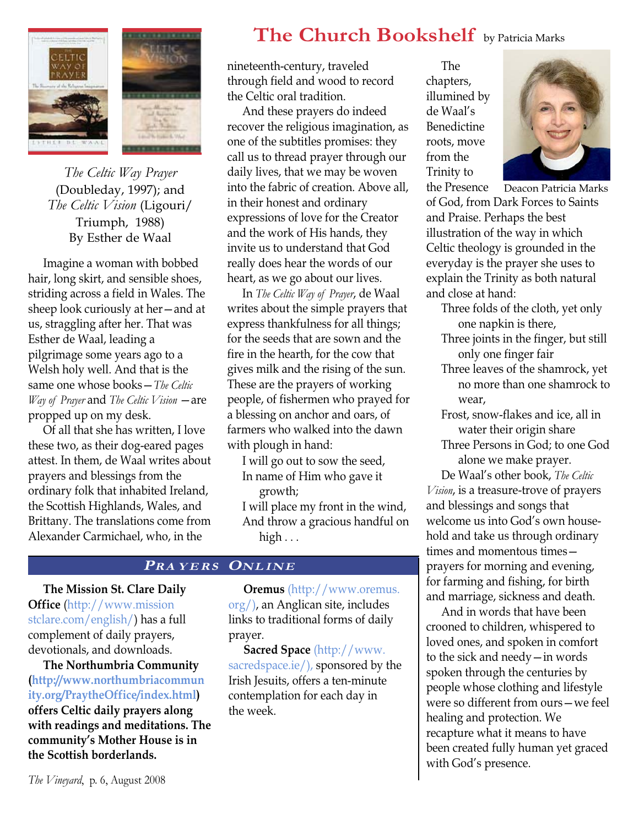

*The Celtic Way Prayer*  (Doubleday, 1997); and *The Celtic Vision* (Ligouri/ Triumph, 1988) By Esther de Waal

Imagine a woman with bobbed hair, long skirt, and sensible shoes, striding across a field in Wales. The sheep look curiously at her—and at us, straggling after her. That was Esther de Waal, leading a pilgrimage some years ago to a Welsh holy well. And that is the same one whose books—*The Celtic Way of Prayer* and *The Celtic Vision* —are propped up on my desk.

Of all that she has written, I love these two, as their dog-eared pages attest. In them, de Waal writes about prayers and blessings from the ordinary folk that inhabited Ireland, the Scottish Highlands, Wales, and Brittany. The translations come from Alexander Carmichael, who, in the

# **The Church Bookshelf** by Patricia Marks

nineteenth-century, traveled through field and wood to record the Celtic oral tradition.

And these prayers do indeed recover the religious imagination, as one of the subtitles promises: they call us to thread prayer through our daily lives, that we may be woven into the fabric of creation. Above all, in their honest and ordinary expressions of love for the Creator and the work of His hands, they invite us to understand that God really does hear the words of our heart, as we go about our lives.

In *The Celtic Way of Prayer*, de Waal writes about the simple prayers that express thankfulness for all things; for the seeds that are sown and the fire in the hearth, for the cow that gives milk and the rising of the sun. These are the prayers of working people, of fishermen who prayed for a blessing on anchor and oars, of farmers who walked into the dawn with plough in hand:

I will go out to sow the seed, In name of Him who gave it growth;

I will place my front in the wind, And throw a gracious handful on high . . .

#### **PRA YERS ONLINE**

**The Mission St. Clare Daily Office** (http://www.mission stclare.com/english/) has a full complement of daily prayers, devotionals, and downloads.

**The Northumbria Community (http://www.northumbriacommun ity.org/PraytheOffice/index.html) offers Celtic daily prayers along with readings and meditations. The community's Mother House is in the Scottish borderlands.** 

**Oremus** (http://www.oremus. org/), an Anglican site, includes links to traditional forms of daily prayer.

**Sacred Space** (http://www. sacredspace.ie/), sponsored by the Irish Jesuits, offers a ten-minute contemplation for each day in the week.

The chapters, illumined by de Waal's Benedictine roots, move from the Trinity to



the Presence of God, from Dark Forces to Saints and Praise. Perhaps the best illustration of the way in which Celtic theology is grounded in the everyday is the prayer she uses to explain the Trinity as both natural and close at hand: Deacon Patricia Marks

- Three folds of the cloth, yet only one napkin is there,
- Three joints in the finger, but still only one finger fair
- Three leaves of the shamrock, yet no more than one shamrock to wear,
- Frost, snow-flakes and ice, all in water their origin share
- Three Persons in God; to one God alone we make prayer.

De Waal's other book, *The Celtic Vision*, is a treasure-trove of prayers and blessings and songs that welcome us into God's own household and take us through ordinary times and momentous times prayers for morning and evening, for farming and fishing, for birth and marriage, sickness and death.

And in words that have been crooned to children, whispered to loved ones, and spoken in comfort to the sick and needy—in words spoken through the centuries by people whose clothing and lifestyle were so different from ours—we feel healing and protection. We recapture what it means to have been created fully human yet graced with God's presence.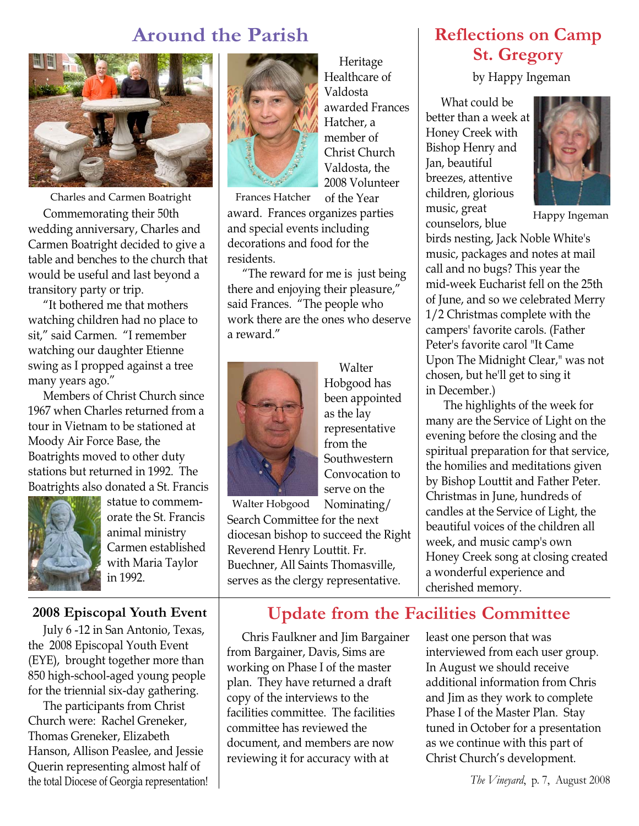# **Around the Parish**



Charles and Carmen Boatright

Commemorating their 50th wedding anniversary, Charles and Carmen Boatright decided to give a table and benches to the church that would be useful and last beyond a transitory party or trip.

"It bothered me that mothers watching children had no place to sit," said Carmen. "I remember watching our daughter Etienne swing as I propped against a tree many years ago."

Members of Christ Church since 1967 when Charles returned from a tour in Vietnam to be stationed at Moody Air Force Base, the Boatrights moved to other duty stations but returned in 1992. The Boatrights also donated a St. Francis



statue to commemorate the St. Francis animal ministry Carmen established with Maria Taylor in 1992.

#### **2008 Episcopal Youth Event**

July 6 -12 in San Antonio, Texas, the 2008 Episcopal Youth Event (EYE), brought together more than 850 high-school-aged young people for the triennial six-day gathering.

The participants from Christ Church were: Rachel Greneker, Thomas Greneker, Elizabeth Hanson, Allison Peaslee, and Jessie Querin representing almost half of the total Diocese of Georgia representation!



Heritage Healthcare of Valdosta awarded Frances Hatcher, a member of Christ Church Valdosta, the 2008 Volunteer of the Year

Frances Hatcher

award. Frances organizes parties and special events including decorations and food for the residents.

"The reward for me is just being there and enjoying their pleasure," said Frances. "The people who work there are the ones who deserve a reward."



Walter Hobgood has been appointed as the lay representative from the **Southwestern** Convocation to serve on the Nominating/

Walter Hobgood

Search Committee for the next diocesan bishop to succeed the Right Reverend Henry Louttit. Fr. Buechner, All Saints Thomasville, serves as the clergy representative.

**Reflections on Camp St. Gregory**

by Happy Ingeman

What could be better than a week at Honey Creek with Bishop Henry and Jan, beautiful breezes, attentive children, glorious music, great counselors, blue



Happy Ingeman

birds nesting, Jack Noble White's music, packages and notes at mail call and no bugs? This year the mid-week Eucharist fell on the 25th of June, and so we celebrated Merry 1/2 Christmas complete with the campers' favorite carols. (Father Peter's favorite carol "It Came Upon The Midnight Clear," was not chosen, but he'll get to sing it in December.)

The highlights of the week for many are the Service of Light on the evening before the closing and the spiritual preparation for that service, the homilies and meditations given by Bishop Louttit and Father Peter. Christmas in June, hundreds of candles at the Service of Light, the beautiful voices of the children all week, and music camp's own Honey Creek song at closing created a wonderful experience and cherished memory.

### **Update from the Facilities Committee**

Chris Faulkner and Jim Bargainer from Bargainer, Davis, Sims are working on Phase I of the master plan. They have returned a draft copy of the interviews to the facilities committee. The facilities committee has reviewed the document, and members are now reviewing it for accuracy with at

least one person that was interviewed from each user group. In August we should receive additional information from Chris and Jim as they work to complete Phase I of the Master Plan. Stay tuned in October for a presentation as we continue with this part of Christ Church's development.